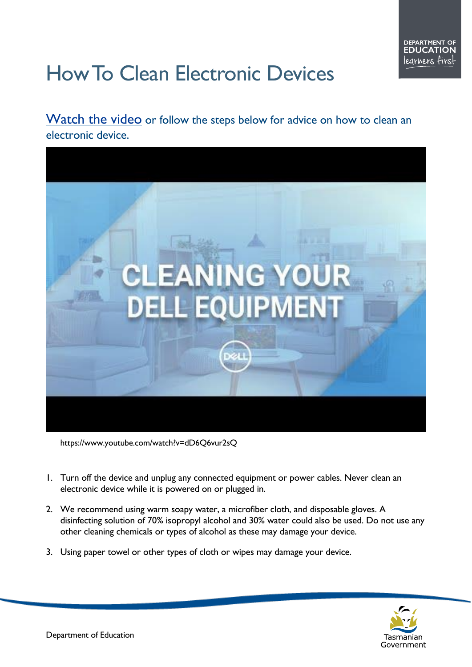## How To Clean Electronic Devices

## [Watch the video](https://www.youtube.com/watch?v=dD6Q6vur2sQ) or follow the steps below for advice on how to clean an electronic device.



https://www.youtube.com/watch?v=dD6Q6vur2sQ

- 1. Turn off the device and unplug any connected equipment or power cables. Never clean an electronic device while it is powered on or plugged in.
- 2. We recommend using warm soapy water, a microfiber cloth, and disposable gloves. A disinfecting solution of 70% isopropyl alcohol and 30% water could also be used. Do not use any other cleaning chemicals or types of alcohol as these may damage your device.
- 3. Using paper towel or other types of cloth or wipes may damage your device.